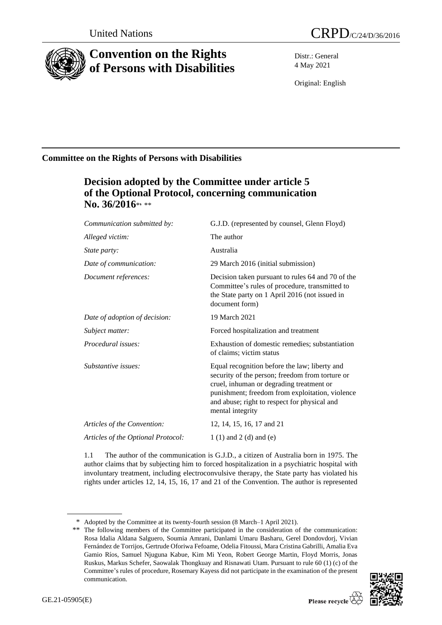

# **Convention on the Rights of Persons with Disabilities**

Distr.: General 4 May 2021

Original: English

# **Committee on the Rights of Persons with Disabilities**

# **Decision adopted by the Committee under article 5 of the Optional Protocol, concerning communication No. 36/2016**\* **,** \*\*

| Communication submitted by:        | G.J.D. (represented by counsel, Glenn Floyd)                                                                                                                                                                                                                        |
|------------------------------------|---------------------------------------------------------------------------------------------------------------------------------------------------------------------------------------------------------------------------------------------------------------------|
| Alleged victim:                    | The author                                                                                                                                                                                                                                                          |
| <i>State party:</i>                | Australia                                                                                                                                                                                                                                                           |
| Date of communication:             | 29 March 2016 (initial submission)                                                                                                                                                                                                                                  |
| Document references:               | Decision taken pursuant to rules 64 and 70 of the<br>Committee's rules of procedure, transmitted to<br>the State party on 1 April 2016 (not issued in<br>document form)                                                                                             |
| Date of adoption of decision:      | 19 March 2021                                                                                                                                                                                                                                                       |
| Subject matter:                    | Forced hospitalization and treatment                                                                                                                                                                                                                                |
| Procedural issues:                 | Exhaustion of domestic remedies; substantiation<br>of claims; victim status                                                                                                                                                                                         |
| Substantive issues:                | Equal recognition before the law; liberty and<br>security of the person; freedom from torture or<br>cruel, inhuman or degrading treatment or<br>punishment; freedom from exploitation, violence<br>and abuse; right to respect for physical and<br>mental integrity |
| Articles of the Convention:        | 12, 14, 15, 16, 17 and 21                                                                                                                                                                                                                                           |
| Articles of the Optional Protocol: | 1 $(1)$ and 2 $(d)$ and $(e)$                                                                                                                                                                                                                                       |
|                                    |                                                                                                                                                                                                                                                                     |

1.1 The author of the communication is G.J.D., a citizen of Australia born in 1975. The author claims that by subjecting him to forced hospitalization in a psychiatric hospital with involuntary treatment, including electroconvulsive therapy, the State party has violated his rights under articles 12, 14, 15, 16, 17 and 21 of the Convention. The author is represented

<sup>\*\*</sup> The following members of the Committee participated in the consideration of the communication: Rosa Idalia Aldana Salguero, Soumia Amrani, Danlami Umaru Basharu, Gerel Dondovdorj, Vivian Fernández de Torrijos, Gertrude Oforiwa Fefoame, Odelia Fitoussi, Mara Cristina Gabrilli, Amalia Eva Gamio Ríos, Samuel Njuguna Kabue, Kim Mi Yeon, Robert George Martin, Floyd Morris, Jonas Ruskus, Markus Schefer, Saowalak Thongkuay and Risnawati Utam. Pursuant to rule 60 (1) (c) of the Committee's rules of procedure, Rosemary Kayess did not participate in the examination of the present communication.



<sup>\*</sup> Adopted by the Committee at its twenty-fourth session (8 March–1 April 2021).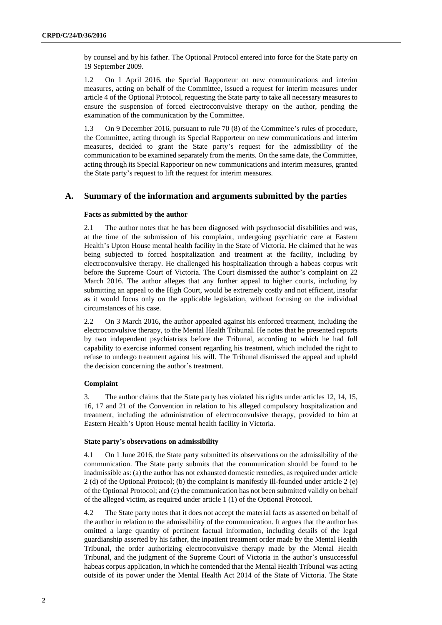by counsel and by his father. The Optional Protocol entered into force for the State party on 19 September 2009.

1.2 On 1 April 2016, the Special Rapporteur on new communications and interim measures, acting on behalf of the Committee, issued a request for interim measures under article 4 of the Optional Protocol, requesting the State party to take all necessary measures to ensure the suspension of forced electroconvulsive therapy on the author, pending the examination of the communication by the Committee.

1.3 On 9 December 2016, pursuant to rule 70 (8) of the Committee's rules of procedure, the Committee, acting through its Special Rapporteur on new communications and interim measures, decided to grant the State party's request for the admissibility of the communication to be examined separately from the merits. On the same date, the Committee, acting through its Special Rapporteur on new communications and interim measures, granted the State party's request to lift the request for interim measures.

## **A. Summary of the information and arguments submitted by the parties**

#### **Facts as submitted by the author**

2.1 The author notes that he has been diagnosed with psychosocial disabilities and was, at the time of the submission of his complaint, undergoing psychiatric care at Eastern Health's Upton House mental health facility in the State of Victoria. He claimed that he was being subjected to forced hospitalization and treatment at the facility, including by electroconvulsive therapy. He challenged his hospitalization through a habeas corpus writ before the Supreme Court of Victoria. The Court dismissed the author's complaint on 22 March 2016. The author alleges that any further appeal to higher courts, including by submitting an appeal to the High Court, would be extremely costly and not efficient, insofar as it would focus only on the applicable legislation, without focusing on the individual circumstances of his case.

2.2 On 3 March 2016, the author appealed against his enforced treatment, including the electroconvulsive therapy, to the Mental Health Tribunal. He notes that he presented reports by two independent psychiatrists before the Tribunal, according to which he had full capability to exercise informed consent regarding his treatment, which included the right to refuse to undergo treatment against his will. The Tribunal dismissed the appeal and upheld the decision concerning the author's treatment.

### **Complaint**

3. The author claims that the State party has violated his rights under articles 12, 14, 15, 16, 17 and 21 of the Convention in relation to his alleged compulsory hospitalization and treatment, including the administration of electroconvulsive therapy, provided to him at Eastern Health's Upton House mental health facility in Victoria.

#### **State party's observations on admissibility**

4.1 On 1 June 2016, the State party submitted its observations on the admissibility of the communication. The State party submits that the communication should be found to be inadmissible as: (a) the author has not exhausted domestic remedies, as required under article 2 (d) of the Optional Protocol; (b) the complaint is manifestly ill-founded under article 2 (e) of the Optional Protocol; and (c) the communication has not been submitted validly on behalf of the alleged victim, as required under article 1 (1) of the Optional Protocol.

4.2 The State party notes that it does not accept the material facts as asserted on behalf of the author in relation to the admissibility of the communication. It argues that the author has omitted a large quantity of pertinent factual information, including details of the legal guardianship asserted by his father, the inpatient treatment order made by the Mental Health Tribunal, the order authorizing electroconvulsive therapy made by the Mental Health Tribunal, and the judgment of the Supreme Court of Victoria in the author's unsuccessful habeas corpus application, in which he contended that the Mental Health Tribunal was acting outside of its power under the Mental Health Act 2014 of the State of Victoria. The State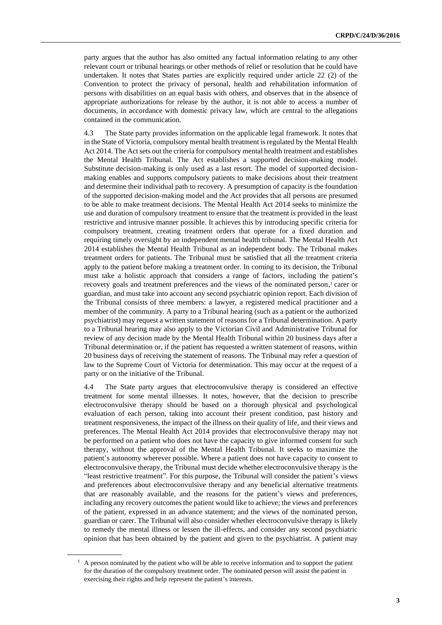party argues that the author has also omitted any factual information relating to any other relevant court or tribunal hearings or other methods of relief or resolution that he could have undertaken. It notes that States parties are explicitly required under article 22 (2) of the Convention to protect the privacy of personal, health and rehabilitation information of persons with disabilities on an equal basis with others, and observes that in the absence of appropriate authorizations for release by the author, it is not able to access a number of documents, in accordance with domestic privacy law, which are central to the allegations contained in the communication.

4.3 The State party provides information on the applicable legal framework. It notes that in the State of Victoria, compulsory mental health treatment is regulated by the Mental Health Act 2014. The Act sets out the criteria for compulsory mental health treatment and establishes the Mental Health Tribunal. The Act establishes a supported decision-making model. Substitute decision-making is only used as a last resort. The model of supported decisionmaking enables and supports compulsory patients to make decisions about their treatment and determine their individual path to recovery. A presumption of capacity is the foundation of the supported decision-making model and the Act provides that all persons are presumed to be able to make treatment decisions. The Mental Health Act 2014 seeks to minimize the use and duration of compulsory treatment to ensure that the treatment is provided in the least restrictive and intrusive manner possible. It achieves this by introducing specific criteria for compulsory treatment, creating treatment orders that operate for a fixed duration and requiring timely oversight by an independent mental health tribunal. The Mental Health Act 2014 establishes the Mental Health Tribunal as an independent body. The Tribunal makes treatment orders for patients. The Tribunal must be satisfied that all the treatment criteria apply to the patient before making a treatment order. In coming to its decision, the Tribunal must take a holistic approach that considers a range of factors, including the patient's recovery goals and treatment preferences and the views of the nominated person, <sup>1</sup> carer or guardian, and must take into account any second psychiatric opinion report. Each division of the Tribunal consists of three members: a lawyer, a registered medical practitioner and a member of the community. A party to a Tribunal hearing (such as a patient or the authorized psychiatrist) may request a written statement of reasons for a Tribunal determination. A party to a Tribunal hearing may also apply to the Victorian Civil and Administrative Tribunal for review of any decision made by the Mental Health Tribunal within 20 business days after a Tribunal determination or, if the patient has requested a written statement of reasons, within 20 business days of receiving the statement of reasons. The Tribunal may refer a question of law to the Supreme Court of Victoria for determination. This may occur at the request of a party or on the initiative of the Tribunal.

4.4 The State party argues that electroconvulsive therapy is considered an effective treatment for some mental illnesses. It notes, however, that the decision to prescribe electroconvulsive therapy should be based on a thorough physical and psychological evaluation of each person, taking into account their present condition, past history and treatment responsiveness, the impact of the illness on their quality of life, and their views and preferences. The Mental Health Act 2014 provides that electroconvulsive therapy may not be performed on a patient who does not have the capacity to give informed consent for such therapy, without the approval of the Mental Health Tribunal. It seeks to maximize the patient's autonomy wherever possible. Where a patient does not have capacity to consent to electroconvulsive therapy, the Tribunal must decide whether electroconvulsive therapy is the "least restrictive treatment". For this purpose, the Tribunal will consider the patient's views and preferences about electroconvulsive therapy and any beneficial alternative treatments that are reasonably available, and the reasons for the patient's views and preferences, including any recovery outcomes the patient would like to achieve; the views and preferences of the patient, expressed in an advance statement; and the views of the nominated person, guardian or carer. The Tribunal will also consider whether electroconvulsive therapy is likely to remedy the mental illness or lessen the ill-effects, and consider any second psychiatric opinion that has been obtained by the patient and given to the psychiatrist. A patient may

 $<sup>1</sup>$  A person nominated by the patient who will be able to receive information and to support the patient</sup> for the duration of the compulsory treatment order. The nominated person will assist the patient in exercising their rights and help represent the patient's interests.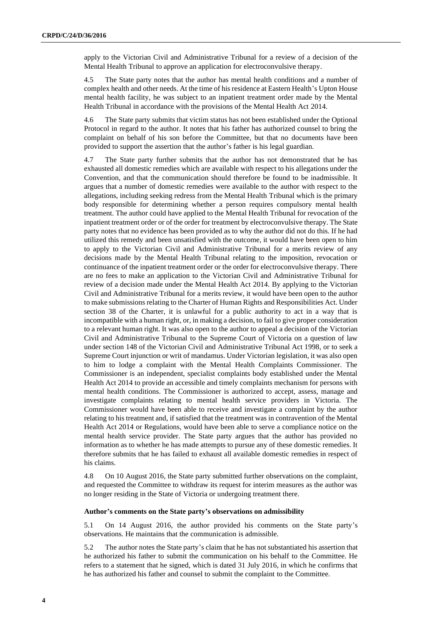apply to the Victorian Civil and Administrative Tribunal for a review of a decision of the Mental Health Tribunal to approve an application for electroconvulsive therapy.

4.5 The State party notes that the author has mental health conditions and a number of complex health and other needs. At the time of his residence at Eastern Health's Upton House mental health facility, he was subject to an inpatient treatment order made by the Mental Health Tribunal in accordance with the provisions of the Mental Health Act 2014.

4.6 The State party submits that victim status has not been established under the Optional Protocol in regard to the author. It notes that his father has authorized counsel to bring the complaint on behalf of his son before the Committee, but that no documents have been provided to support the assertion that the author's father is his legal guardian.

4.7 The State party further submits that the author has not demonstrated that he has exhausted all domestic remedies which are available with respect to his allegations under the Convention, and that the communication should therefore be found to be inadmissible. It argues that a number of domestic remedies were available to the author with respect to the allegations, including seeking redress from the Mental Health Tribunal which is the primary body responsible for determining whether a person requires compulsory mental health treatment. The author could have applied to the Mental Health Tribunal for revocation of the inpatient treatment order or of the order for treatment by electroconvulsive therapy. The State party notes that no evidence has been provided as to why the author did not do this. If he had utilized this remedy and been unsatisfied with the outcome, it would have been open to him to apply to the Victorian Civil and Administrative Tribunal for a merits review of any decisions made by the Mental Health Tribunal relating to the imposition, revocation or continuance of the inpatient treatment order or the order for electroconvulsive therapy. There are no fees to make an application to the Victorian Civil and Administrative Tribunal for review of a decision made under the Mental Health Act 2014. By applying to the Victorian Civil and Administrative Tribunal for a merits review, it would have been open to the author to make submissions relating to the Charter of Human Rights and Responsibilities Act. Under section 38 of the Charter, it is unlawful for a public authority to act in a way that is incompatible with a human right, or, in making a decision, to fail to give proper consideration to a relevant human right. It was also open to the author to appeal a decision of the Victorian Civil and Administrative Tribunal to the Supreme Court of Victoria on a question of law under section 148 of the Victorian Civil and Administrative Tribunal Act 1998, or to seek a Supreme Court injunction or writ of mandamus. Under Victorian legislation, it was also open to him to lodge a complaint with the Mental Health Complaints Commissioner. The Commissioner is an independent, specialist complaints body established under the Mental Health Act 2014 to provide an accessible and timely complaints mechanism for persons with mental health conditions. The Commissioner is authorized to accept, assess, manage and investigate complaints relating to mental health service providers in Victoria. The Commissioner would have been able to receive and investigate a complaint by the author relating to his treatment and, if satisfied that the treatment was in contravention of the Mental Health Act 2014 or Regulations, would have been able to serve a compliance notice on the mental health service provider. The State party argues that the author has provided no information as to whether he has made attempts to pursue any of these domestic remedies. It therefore submits that he has failed to exhaust all available domestic remedies in respect of his claims.

4.8 On 10 August 2016, the State party submitted further observations on the complaint, and requested the Committee to withdraw its request for interim measures as the author was no longer residing in the State of Victoria or undergoing treatment there.

#### **Author's comments on the State party's observations on admissibility**

5.1 On 14 August 2016, the author provided his comments on the State party's observations. He maintains that the communication is admissible.

5.2 The author notes the State party's claim that he has not substantiated his assertion that he authorized his father to submit the communication on his behalf to the Committee. He refers to a statement that he signed, which is dated 31 July 2016, in which he confirms that he has authorized his father and counsel to submit the complaint to the Committee.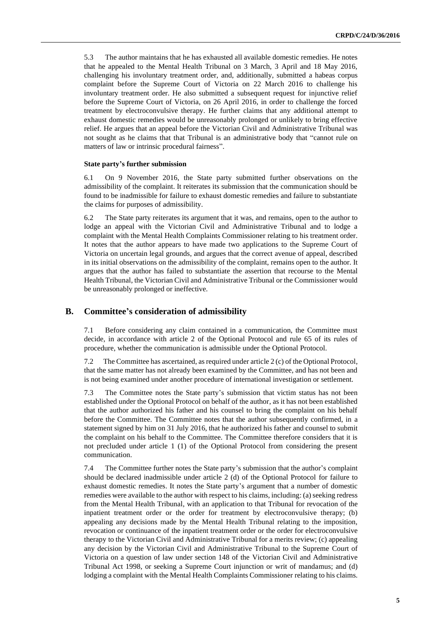5.3 The author maintains that he has exhausted all available domestic remedies. He notes that he appealed to the Mental Health Tribunal on 3 March, 3 April and 18 May 2016, challenging his involuntary treatment order, and, additionally, submitted a habeas corpus complaint before the Supreme Court of Victoria on 22 March 2016 to challenge his involuntary treatment order. He also submitted a subsequent request for injunctive relief before the Supreme Court of Victoria, on 26 April 2016, in order to challenge the forced treatment by electroconvulsive therapy. He further claims that any additional attempt to exhaust domestic remedies would be unreasonably prolonged or unlikely to bring effective relief. He argues that an appeal before the Victorian Civil and Administrative Tribunal was not sought as he claims that that Tribunal is an administrative body that "cannot rule on matters of law or intrinsic procedural fairness".

#### **State party's further submission**

6.1 On 9 November 2016, the State party submitted further observations on the admissibility of the complaint. It reiterates its submission that the communication should be found to be inadmissible for failure to exhaust domestic remedies and failure to substantiate the claims for purposes of admissibility.

6.2 The State party reiterates its argument that it was, and remains, open to the author to lodge an appeal with the Victorian Civil and Administrative Tribunal and to lodge a complaint with the Mental Health Complaints Commissioner relating to his treatment order. It notes that the author appears to have made two applications to the Supreme Court of Victoria on uncertain legal grounds, and argues that the correct avenue of appeal, described in its initial observations on the admissibility of the complaint, remains open to the author. It argues that the author has failed to substantiate the assertion that recourse to the Mental Health Tribunal, the Victorian Civil and Administrative Tribunal or the Commissioner would be unreasonably prolonged or ineffective.

#### **B. Committee's consideration of admissibility**

7.1 Before considering any claim contained in a communication, the Committee must decide, in accordance with article 2 of the Optional Protocol and rule 65 of its rules of procedure, whether the communication is admissible under the Optional Protocol.

7.2 The Committee has ascertained, as required under article 2 (c) of the Optional Protocol, that the same matter has not already been examined by the Committee, and has not been and is not being examined under another procedure of international investigation or settlement.

7.3 The Committee notes the State party's submission that victim status has not been established under the Optional Protocol on behalf of the author, as it has not been established that the author authorized his father and his counsel to bring the complaint on his behalf before the Committee. The Committee notes that the author subsequently confirmed, in a statement signed by him on 31 July 2016, that he authorized his father and counsel to submit the complaint on his behalf to the Committee. The Committee therefore considers that it is not precluded under article 1 (1) of the Optional Protocol from considering the present communication.

7.4 The Committee further notes the State party's submission that the author's complaint should be declared inadmissible under article 2 (d) of the Optional Protocol for failure to exhaust domestic remedies. It notes the State party's argument that a number of domestic remedies were available to the author with respect to his claims, including: (a) seeking redress from the Mental Health Tribunal, with an application to that Tribunal for revocation of the inpatient treatment order or the order for treatment by electroconvulsive therapy; (b) appealing any decisions made by the Mental Health Tribunal relating to the imposition, revocation or continuance of the inpatient treatment order or the order for electroconvulsive therapy to the Victorian Civil and Administrative Tribunal for a merits review; (c) appealing any decision by the Victorian Civil and Administrative Tribunal to the Supreme Court of Victoria on a question of law under section 148 of the Victorian Civil and Administrative Tribunal Act 1998, or seeking a Supreme Court injunction or writ of mandamus; and (d) lodging a complaint with the Mental Health Complaints Commissioner relating to his claims.